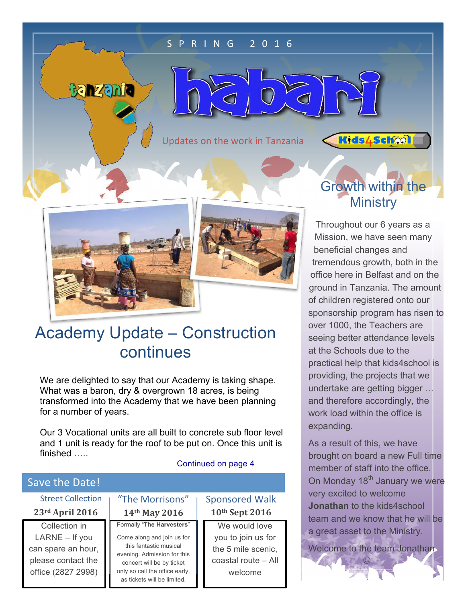#### S P R I N G 2 0 1 6

 $\subset$ 

Updates on the work in Tanzania

 $\subset$ 



tanzania



## Academy Update – Construction continues

We are delighted to say that our Academy is taking shape. What was a baron, dry & overgrown 18 acres, is being transformed into the Academy that we have been planning for a number of years.

Our 3 Vocational units are all built to concrete sub floor level and 1 unit is ready for the roof to be put on. Once this unit is finished …..

#### Continued on page 4

### $\overline{\mathsf{Sive}(\mathsf{A})}$

| 3976 CHC 5966.                                                                                      |                                                                                                                                                                                                                |                                                                                             |
|-----------------------------------------------------------------------------------------------------|----------------------------------------------------------------------------------------------------------------------------------------------------------------------------------------------------------------|---------------------------------------------------------------------------------------------|
| <b>Street Collection</b>                                                                            | "The Morrisons"                                                                                                                                                                                                | <b>Sponsored Walk</b>                                                                       |
| 23rd April 2016                                                                                     | 14th May 2016                                                                                                                                                                                                  | 10th Sept 2016                                                                              |
| Collection in<br>$LARNE - If you$<br>can spare an hour,<br>please contact the<br>office (2827 2998) | Formally "The Harvesters"<br>Come along and join us for<br>this fantastic musical<br>evening. Admission for this<br>concert will be by ticket<br>only so call the office early,<br>as tickets will be limited. | We would love<br>you to join us for<br>the 5 mile scenic,<br>coastal route - All<br>welcome |

## Growth within the **Ministry**

**Kids4School** 

Throughout our 6 years as a Mission, we have seen many beneficial changes and tremendous growth, both in the office here in Belfast and on the ground in Tanzania. The amount of children registered onto our sponsorship program has risen to over 1000, the Teachers are seeing better attendance levels at the Schools due to the practical help that kids4school is providing, the projects that we undertake are getting bigger … and therefore accordingly, the work load within the office is expanding.

As a result of this, we have brought on board a new Full time member of staff into the office. On Monday 18<sup>th</sup> January we were very excited to welcome Jonathan to the kids4school team and we know that he will be a great asset to the Ministry.

Welcome to the team Jonathan

 $\odot$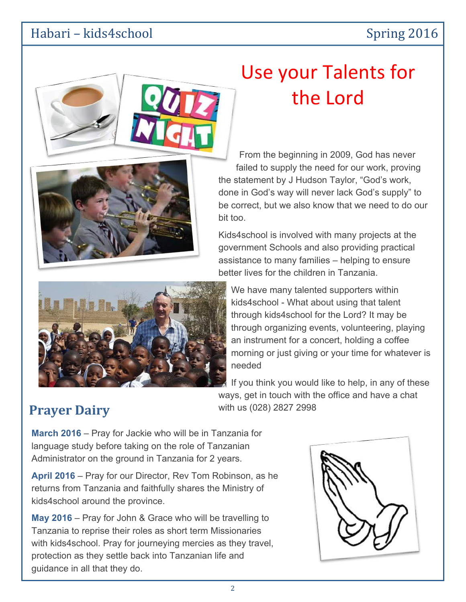### Habari – kids4school Spring 2016



# Use your Talents for the Lord

From the beginning in 2009, God has never failed to supply the need for our work, proving the statement by J Hudson Taylor, "God's work, done in God's way will never lack God's supply" to be correct, but we also know that we need to do our bit too.

Kids4school is involved with many projects at the government Schools and also providing practical assistance to many families – helping to ensure better lives for the children in Tanzania.



We have many talented supporters within kids4school - What about using that talent through kids4school for the Lord? It may be through organizing events, volunteering, playing an instrument for a concert, holding a coffee morning or just giving or your time for whatever is needed

If you think you would like to help, in any of these ways, get in touch with the office and have a chat **Prayer Dairy** with us (028) 2827 2998

March 2016 – Pray for Jackie who will be in Tanzania for language study before taking on the role of Tanzanian Administrator on the ground in Tanzania for 2 years.

April 2016 – Pray for our Director, Rev Tom Robinson, as he returns from Tanzania and faithfully shares the Ministry of kids4school around the province.

May 2016 – Pray for John & Grace who will be travelling to Tanzania to reprise their roles as short term Missionaries with kids4school. Pray for journeying mercies as they travel, protection as they settle back into Tanzanian life and guidance in all that they do.

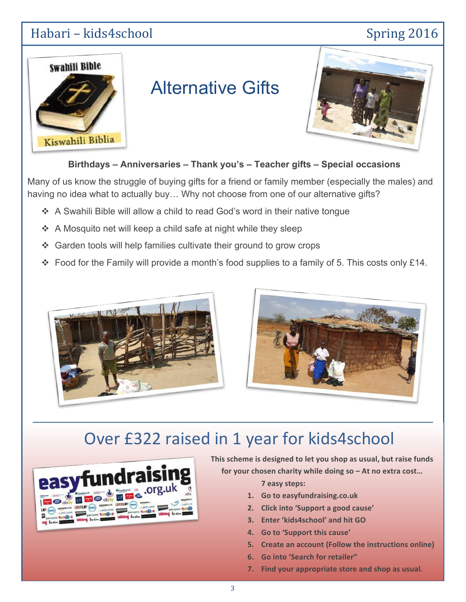## Habari – kids4school Spring 2016



# Alternative Gifts



Birthdays – Anniversaries – Thank you's – Teacher gifts – Special occasions

Many of us know the struggle of buying gifts for a friend or family member (especially the males) and having no idea what to actually buy... Why not choose from one of our alternative gifts?

- \* A Swahili Bible will allow a child to read God's word in their native tongue
- \* A Mosquito net will keep a child safe at night while they sleep
- " Garden tools will help families cultivate their ground to grow crops
- $\cdot$  Food for the Family will provide a month's food supplies to a family of 5. This costs only £14.





## Over £322 raised in 1 year for kids4school



This scheme is designed to let you shop as usual, but raise funds for your chosen charity while doing so – At no extra cost...

7 easy steps:

- 1. Go to easyfundraising.co.uk
- 2. Click into 'Support a good cause'
- 3. Enter 'kids4school' and hit GO
- 4. Go to 'Support this cause'
- 5. Create an account (Follow the instructions online)
- 6. Go into 'Search for retailer"
- 7. Find your appropriate store and shop as usual.